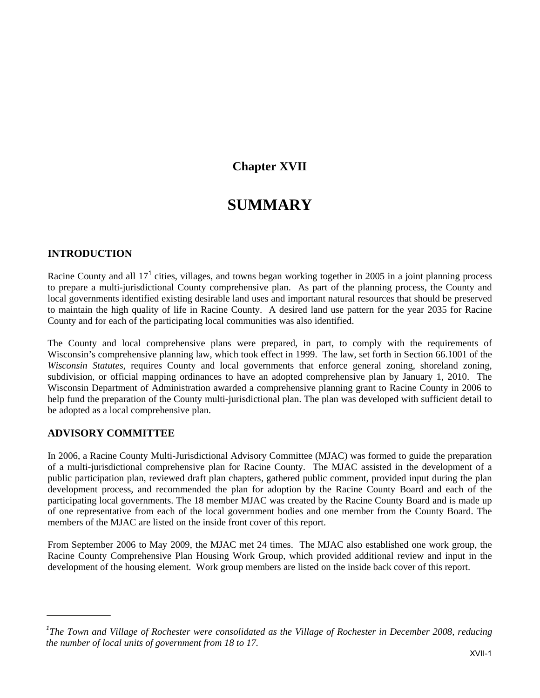## **Chapter XVII**

# **SUMMARY**

## **INTRODUCTION**

Racine County and all  $17<sup>1</sup>$  cities, villages, and towns began working together in 2005 in a joint planning process to prepare a multi-jurisdictional County comprehensive plan. As part of the planning process, the County and local governments identified existing desirable land uses and important natural resources that should be preserved to maintain the high quality of life in Racine County. A desired land use pattern for the year 2035 for Racine County and for each of the participating local communities was also identified.

The County and local comprehensive plans were prepared, in part, to comply with the requirements of Wisconsin's comprehensive planning law, which took effect in 1999. The law, set forth in Section 66.1001 of the *Wisconsin Statutes*, requires County and local governments that enforce general zoning, shoreland zoning, subdivision, or official mapping ordinances to have an adopted comprehensive plan by January 1, 2010. The Wisconsin Department of Administration awarded a comprehensive planning grant to Racine County in 2006 to help fund the preparation of the County multi-jurisdictional plan. The plan was developed with sufficient detail to be adopted as a local comprehensive plan.

### **ADVISORY COMMITTEE**

In 2006, a Racine County Multi-Jurisdictional Advisory Committee (MJAC) was formed to guide the preparation of a multi-jurisdictional comprehensive plan for Racine County. The MJAC assisted in the development of a public participation plan, reviewed draft plan chapters, gathered public comment, provided input during the plan development process, and recommended the plan for adoption by the Racine County Board and each of the participating local governments. The 18 member MJAC was created by the Racine County Board and is made up of one representative from each of the local government bodies and one member from the County Board. The members of the MJAC are listed on the inside front cover of this report.

From September 2006 to May 2009, the MJAC met 24 times. The MJAC also established one work group, the Racine County Comprehensive Plan Housing Work Group, which provided additional review and input in the development of the housing element. Work group members are listed on the inside back cover of this report.

<sup>&</sup>lt;sup>1</sup>The Town and Village of Rochester were consolidated as the Village of Rochester in December 2008, reducing *the number of local units of government from 18 to 17.*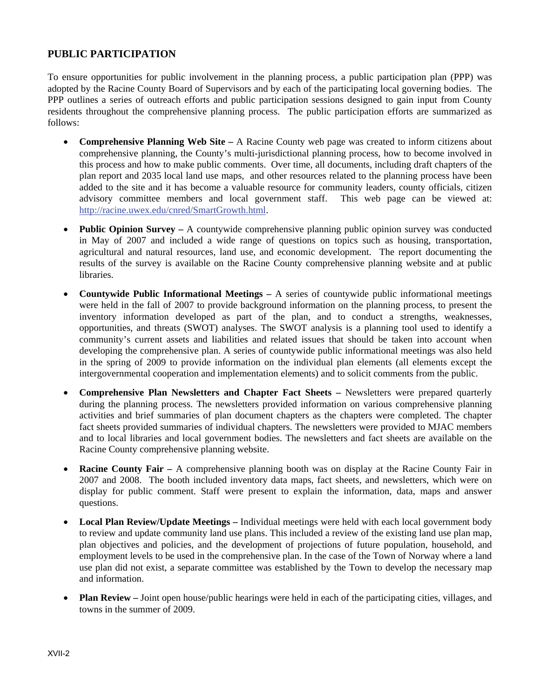## **PUBLIC PARTICIPATION**

To ensure opportunities for public involvement in the planning process, a public participation plan (PPP) was adopted by the Racine County Board of Supervisors and by each of the participating local governing bodies. The PPP outlines a series of outreach efforts and public participation sessions designed to gain input from County residents throughout the comprehensive planning process. The public participation efforts are summarized as follows:

- **Comprehensive Planning Web Site –** A Racine County web page was created to inform citizens about comprehensive planning, the County's multi-jurisdictional planning process, how to become involved in this process and how to make public comments. Over time, all documents, including draft chapters of the plan report and 2035 local land use maps, and other resources related to the planning process have been added to the site and it has become a valuable resource for community leaders, county officials, citizen advisory committee members and local government staff. This web page can be viewed at: http://racine.uwex.edu/cnred/SmartGrowth.html.
- **Public Opinion Survey** A countywide comprehensive planning public opinion survey was conducted in May of 2007 and included a wide range of questions on topics such as housing, transportation, agricultural and natural resources, land use, and economic development. The report documenting the results of the survey is available on the Racine County comprehensive planning website and at public libraries.
- **Countywide Public Informational Meetings** A series of countywide public informational meetings were held in the fall of 2007 to provide background information on the planning process, to present the inventory information developed as part of the plan, and to conduct a strengths, weaknesses, opportunities, and threats (SWOT) analyses. The SWOT analysis is a planning tool used to identify a community's current assets and liabilities and related issues that should be taken into account when developing the comprehensive plan. A series of countywide public informational meetings was also held in the spring of 2009 to provide information on the individual plan elements (all elements except the intergovernmental cooperation and implementation elements) and to solicit comments from the public.
- **Comprehensive Plan Newsletters and Chapter Fact Sheets –** Newsletters were prepared quarterly during the planning process. The newsletters provided information on various comprehensive planning activities and brief summaries of plan document chapters as the chapters were completed. The chapter fact sheets provided summaries of individual chapters. The newsletters were provided to MJAC members and to local libraries and local government bodies. The newsletters and fact sheets are available on the Racine County comprehensive planning website.
- **Racine County Fair –** A comprehensive planning booth was on display at the Racine County Fair in 2007 and 2008. The booth included inventory data maps, fact sheets, and newsletters, which were on display for public comment. Staff were present to explain the information, data, maps and answer questions.
- Local Plan Review/Update Meetings Individual meetings were held with each local government body to review and update community land use plans. This included a review of the existing land use plan map, plan objectives and policies, and the development of projections of future population, household, and employment levels to be used in the comprehensive plan. In the case of the Town of Norway where a land use plan did not exist, a separate committee was established by the Town to develop the necessary map and information.
- **Plan Review** Joint open house/public hearings were held in each of the participating cities, villages, and towns in the summer of 2009.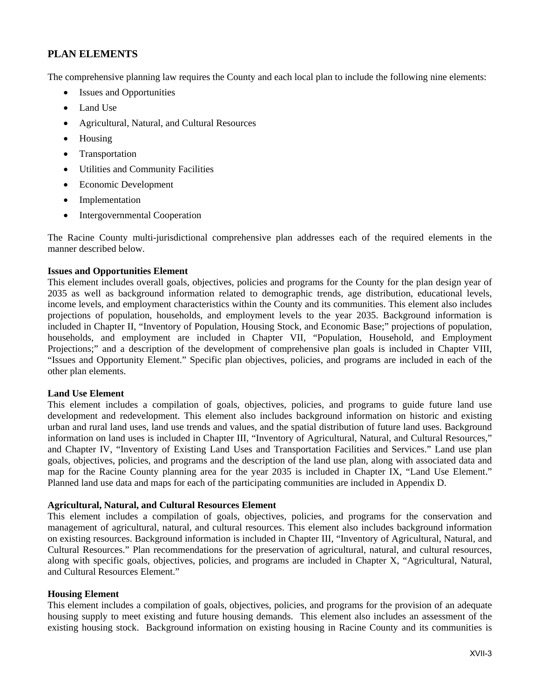## **PLAN ELEMENTS**

The comprehensive planning law requires the County and each local plan to include the following nine elements:

- Issues and Opportunities
- Land Use
- Agricultural, Natural, and Cultural Resources
- Housing
- Transportation
- Utilities and Community Facilities
- Economic Development
- Implementation
- Intergovernmental Cooperation

The Racine County multi-jurisdictional comprehensive plan addresses each of the required elements in the manner described below.

#### **Issues and Opportunities Element**

This element includes overall goals, objectives, policies and programs for the County for the plan design year of 2035 as well as background information related to demographic trends, age distribution, educational levels, income levels, and employment characteristics within the County and its communities. This element also includes projections of population, households, and employment levels to the year 2035. Background information is included in Chapter II, "Inventory of Population, Housing Stock, and Economic Base;" projections of population, households, and employment are included in Chapter VII, "Population, Household, and Employment Projections;" and a description of the development of comprehensive plan goals is included in Chapter VIII, "Issues and Opportunity Element." Specific plan objectives, policies, and programs are included in each of the other plan elements.

#### **Land Use Element**

This element includes a compilation of goals, objectives, policies, and programs to guide future land use development and redevelopment. This element also includes background information on historic and existing urban and rural land uses, land use trends and values, and the spatial distribution of future land uses. Background information on land uses is included in Chapter III, "Inventory of Agricultural, Natural, and Cultural Resources," and Chapter IV, "Inventory of Existing Land Uses and Transportation Facilities and Services." Land use plan goals, objectives, policies, and programs and the description of the land use plan, along with associated data and map for the Racine County planning area for the year 2035 is included in Chapter IX, "Land Use Element." Planned land use data and maps for each of the participating communities are included in Appendix D.

#### **Agricultural, Natural, and Cultural Resources Element**

This element includes a compilation of goals, objectives, policies, and programs for the conservation and management of agricultural, natural, and cultural resources. This element also includes background information on existing resources. Background information is included in Chapter III, "Inventory of Agricultural, Natural, and Cultural Resources." Plan recommendations for the preservation of agricultural, natural, and cultural resources, along with specific goals, objectives, policies, and programs are included in Chapter X, "Agricultural, Natural, and Cultural Resources Element."

#### **Housing Element**

This element includes a compilation of goals, objectives, policies, and programs for the provision of an adequate housing supply to meet existing and future housing demands. This element also includes an assessment of the existing housing stock. Background information on existing housing in Racine County and its communities is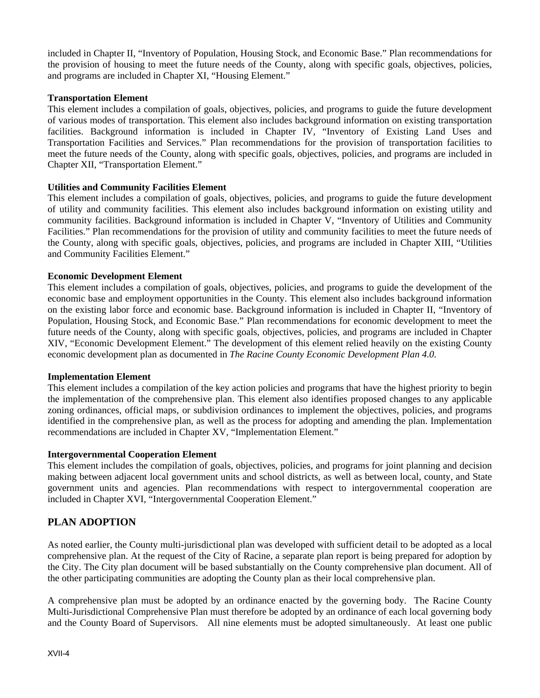included in Chapter II, "Inventory of Population, Housing Stock, and Economic Base." Plan recommendations for the provision of housing to meet the future needs of the County, along with specific goals, objectives, policies, and programs are included in Chapter XI, "Housing Element."

#### **Transportation Element**

This element includes a compilation of goals, objectives, policies, and programs to guide the future development of various modes of transportation. This element also includes background information on existing transportation facilities. Background information is included in Chapter IV, "Inventory of Existing Land Uses and Transportation Facilities and Services." Plan recommendations for the provision of transportation facilities to meet the future needs of the County, along with specific goals, objectives, policies, and programs are included in Chapter XII, "Transportation Element."

#### **Utilities and Community Facilities Element**

This element includes a compilation of goals, objectives, policies, and programs to guide the future development of utility and community facilities. This element also includes background information on existing utility and community facilities. Background information is included in Chapter V, "Inventory of Utilities and Community Facilities." Plan recommendations for the provision of utility and community facilities to meet the future needs of the County, along with specific goals, objectives, policies, and programs are included in Chapter XIII, "Utilities and Community Facilities Element."

#### **Economic Development Element**

This element includes a compilation of goals, objectives, policies, and programs to guide the development of the economic base and employment opportunities in the County. This element also includes background information on the existing labor force and economic base. Background information is included in Chapter II, "Inventory of Population, Housing Stock, and Economic Base." Plan recommendations for economic development to meet the future needs of the County, along with specific goals, objectives, policies, and programs are included in Chapter XIV, "Economic Development Element." The development of this element relied heavily on the existing County economic development plan as documented in *The Racine County Economic Development Plan 4.0.*

#### **Implementation Element**

This element includes a compilation of the key action policies and programs that have the highest priority to begin the implementation of the comprehensive plan. This element also identifies proposed changes to any applicable zoning ordinances, official maps, or subdivision ordinances to implement the objectives, policies, and programs identified in the comprehensive plan, as well as the process for adopting and amending the plan. Implementation recommendations are included in Chapter XV, "Implementation Element."

#### **Intergovernmental Cooperation Element**

This element includes the compilation of goals, objectives, policies, and programs for joint planning and decision making between adjacent local government units and school districts, as well as between local, county, and State government units and agencies. Plan recommendations with respect to intergovernmental cooperation are included in Chapter XVI, "Intergovernmental Cooperation Element."

## **PLAN ADOPTION**

As noted earlier, the County multi-jurisdictional plan was developed with sufficient detail to be adopted as a local comprehensive plan. At the request of the City of Racine, a separate plan report is being prepared for adoption by the City. The City plan document will be based substantially on the County comprehensive plan document. All of the other participating communities are adopting the County plan as their local comprehensive plan.

A comprehensive plan must be adopted by an ordinance enacted by the governing body. The Racine County Multi-Jurisdictional Comprehensive Plan must therefore be adopted by an ordinance of each local governing body and the County Board of Supervisors. All nine elements must be adopted simultaneously. At least one public